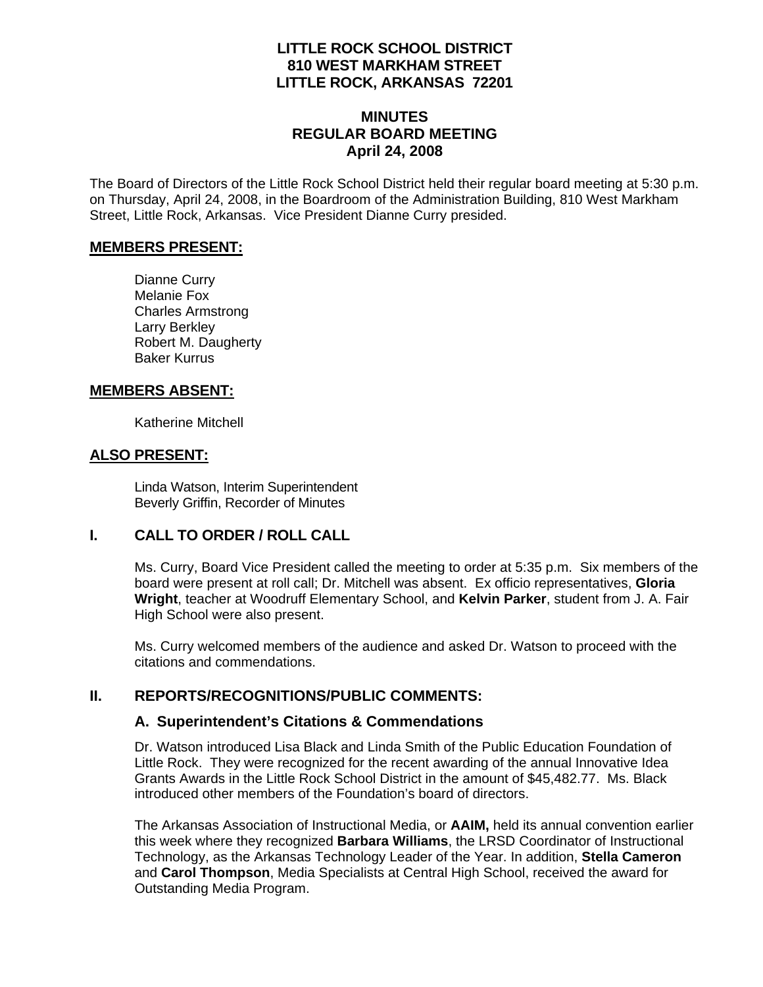## **LITTLE ROCK SCHOOL DISTRICT 810 WEST MARKHAM STREET LITTLE ROCK, ARKANSAS 72201**

### **MINUTES REGULAR BOARD MEETING April 24, 2008**

The Board of Directors of the Little Rock School District held their regular board meeting at 5:30 p.m. on Thursday, April 24, 2008, in the Boardroom of the Administration Building, 810 West Markham Street, Little Rock, Arkansas. Vice President Dianne Curry presided.

#### **MEMBERS PRESENT:**

Dianne Curry Melanie Fox Charles Armstrong Larry Berkley Robert M. Daugherty Baker Kurrus

#### **MEMBERS ABSENT:**

Katherine Mitchell

#### **ALSO PRESENT:**

 Linda Watson, Interim Superintendent Beverly Griffin, Recorder of Minutes

## **I. CALL TO ORDER / ROLL CALL**

Ms. Curry, Board Vice President called the meeting to order at 5:35 p.m. Six members of the board were present at roll call; Dr. Mitchell was absent. Ex officio representatives, **Gloria Wright**, teacher at Woodruff Elementary School, and **Kelvin Parker**, student from J. A. Fair High School were also present.

Ms. Curry welcomed members of the audience and asked Dr. Watson to proceed with the citations and commendations.

## **II. REPORTS/RECOGNITIONS/PUBLIC COMMENTS:**

#### **A. Superintendent's Citations & Commendations**

Dr. Watson introduced Lisa Black and Linda Smith of the Public Education Foundation of Little Rock. They were recognized for the recent awarding of the annual Innovative Idea Grants Awards in the Little Rock School District in the amount of \$45,482.77. Ms. Black introduced other members of the Foundation's board of directors.

The Arkansas Association of Instructional Media, or **AAIM,** held its annual convention earlier this week where they recognized **Barbara Williams**, the LRSD Coordinator of Instructional Technology, as the Arkansas Technology Leader of the Year. In addition, **Stella Cameron** and **Carol Thompson**, Media Specialists at Central High School, received the award for Outstanding Media Program.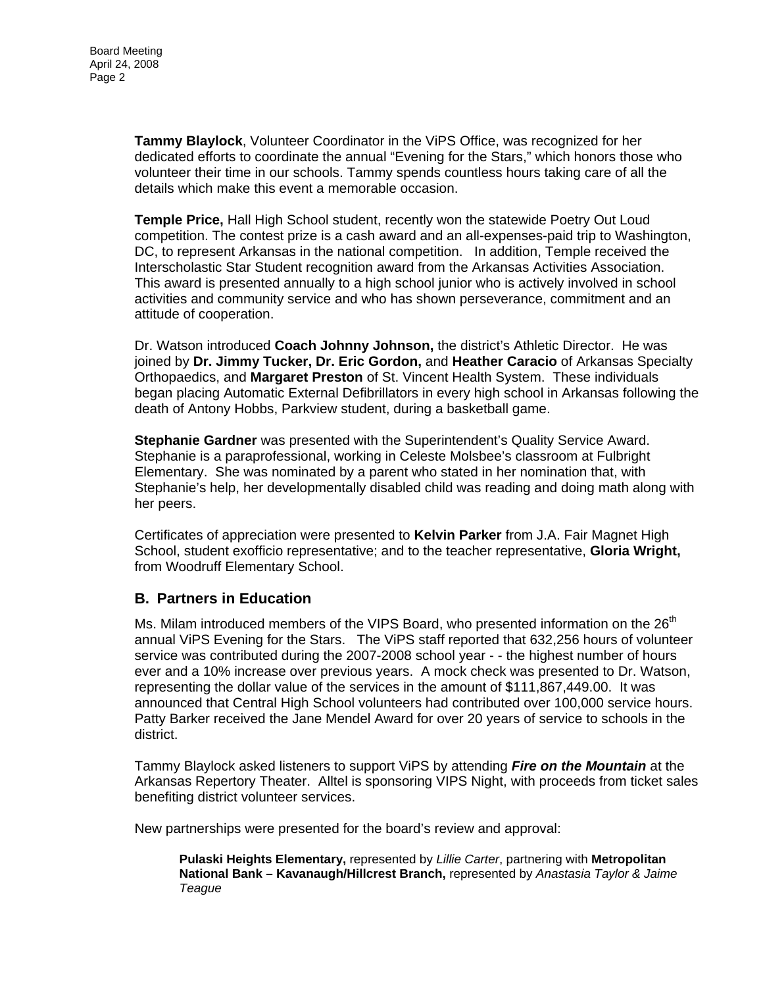**Tammy Blaylock**, Volunteer Coordinator in the ViPS Office, was recognized for her dedicated efforts to coordinate the annual "Evening for the Stars," which honors those who volunteer their time in our schools. Tammy spends countless hours taking care of all the details which make this event a memorable occasion.

**Temple Price,** Hall High School student, recently won the statewide Poetry Out Loud competition. The contest prize is a cash award and an all-expenses-paid trip to Washington, DC, to represent Arkansas in the national competition. In addition, Temple received the Interscholastic Star Student recognition award from the Arkansas Activities Association. This award is presented annually to a high school junior who is actively involved in school activities and community service and who has shown perseverance, commitment and an attitude of cooperation.

Dr. Watson introduced **Coach Johnny Johnson,** the district's Athletic Director. He was joined by **Dr. Jimmy Tucker, Dr. Eric Gordon,** and **Heather Caracio** of Arkansas Specialty Orthopaedics, and **Margaret Preston** of St. Vincent Health System. These individuals began placing Automatic External Defibrillators in every high school in Arkansas following the death of Antony Hobbs, Parkview student, during a basketball game.

**Stephanie Gardner** was presented with the Superintendent's Quality Service Award. Stephanie is a paraprofessional, working in Celeste Molsbee's classroom at Fulbright Elementary. She was nominated by a parent who stated in her nomination that, with Stephanie's help, her developmentally disabled child was reading and doing math along with her peers.

Certificates of appreciation were presented to **Kelvin Parker** from J.A. Fair Magnet High School, student exofficio representative; and to the teacher representative, **Gloria Wright,** from Woodruff Elementary School.

## **B. Partners in Education**

Ms. Milam introduced members of the VIPS Board, who presented information on the  $26<sup>th</sup>$ annual ViPS Evening for the Stars. The ViPS staff reported that 632,256 hours of volunteer service was contributed during the 2007-2008 school year - - the highest number of hours ever and a 10% increase over previous years. A mock check was presented to Dr. Watson, representing the dollar value of the services in the amount of \$111,867,449.00. It was announced that Central High School volunteers had contributed over 100,000 service hours. Patty Barker received the Jane Mendel Award for over 20 years of service to schools in the district.

Tammy Blaylock asked listeners to support ViPS by attending *Fire on the Mountain* at the Arkansas Repertory Theater. Alltel is sponsoring VIPS Night, with proceeds from ticket sales benefiting district volunteer services.

New partnerships were presented for the board's review and approval:

**Pulaski Heights Elementary,** represented by *Lillie Carter*, partnering with **Metropolitan National Bank – Kavanaugh/Hillcrest Branch,** represented by *Anastasia Taylor & Jaime Teague*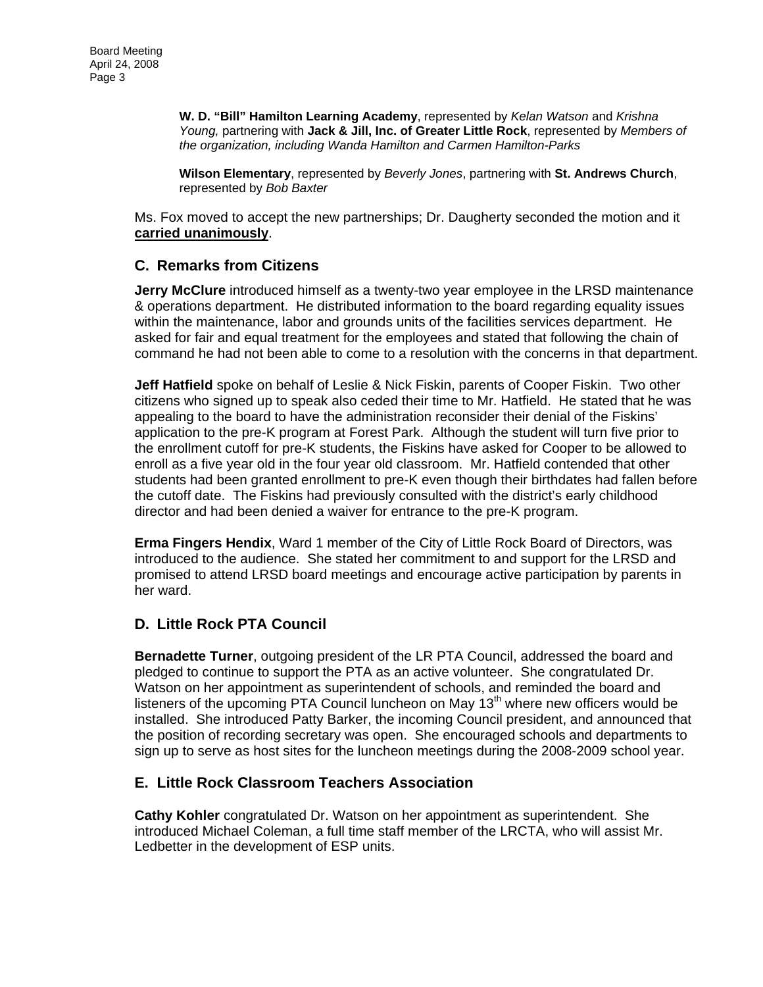**W. D. "Bill" Hamilton Learning Academy**, represented by *Kelan Watson* and *Krishna Young,* partnering with **Jack & Jill, Inc. of Greater Little Rock**, represented by *Members of the organization, including Wanda Hamilton and Carmen Hamilton-Parks* 

**Wilson Elementary**, represented by *Beverly Jones*, partnering with **St. Andrews Church**, represented by *Bob Baxter* 

Ms. Fox moved to accept the new partnerships; Dr. Daugherty seconded the motion and it **carried unanimously**.

## **C. Remarks from Citizens**

**Jerry McClure** introduced himself as a twenty-two year employee in the LRSD maintenance & operations department. He distributed information to the board regarding equality issues within the maintenance, labor and grounds units of the facilities services department. He asked for fair and equal treatment for the employees and stated that following the chain of command he had not been able to come to a resolution with the concerns in that department.

**Jeff Hatfield** spoke on behalf of Leslie & Nick Fiskin, parents of Cooper Fiskin. Two other citizens who signed up to speak also ceded their time to Mr. Hatfield. He stated that he was appealing to the board to have the administration reconsider their denial of the Fiskins' application to the pre-K program at Forest Park. Although the student will turn five prior to the enrollment cutoff for pre-K students, the Fiskins have asked for Cooper to be allowed to enroll as a five year old in the four year old classroom. Mr. Hatfield contended that other students had been granted enrollment to pre-K even though their birthdates had fallen before the cutoff date. The Fiskins had previously consulted with the district's early childhood director and had been denied a waiver for entrance to the pre-K program.

**Erma Fingers Hendix**, Ward 1 member of the City of Little Rock Board of Directors, was introduced to the audience. She stated her commitment to and support for the LRSD and promised to attend LRSD board meetings and encourage active participation by parents in her ward.

## **D. Little Rock PTA Council**

**Bernadette Turner**, outgoing president of the LR PTA Council, addressed the board and pledged to continue to support the PTA as an active volunteer. She congratulated Dr. Watson on her appointment as superintendent of schools, and reminded the board and listeners of the upcoming PTA Council luncheon on May  $13<sup>th</sup>$  where new officers would be installed. She introduced Patty Barker, the incoming Council president, and announced that the position of recording secretary was open. She encouraged schools and departments to sign up to serve as host sites for the luncheon meetings during the 2008-2009 school year.

#### **E. Little Rock Classroom Teachers Association**

**Cathy Kohler** congratulated Dr. Watson on her appointment as superintendent. She introduced Michael Coleman, a full time staff member of the LRCTA, who will assist Mr. Ledbetter in the development of ESP units.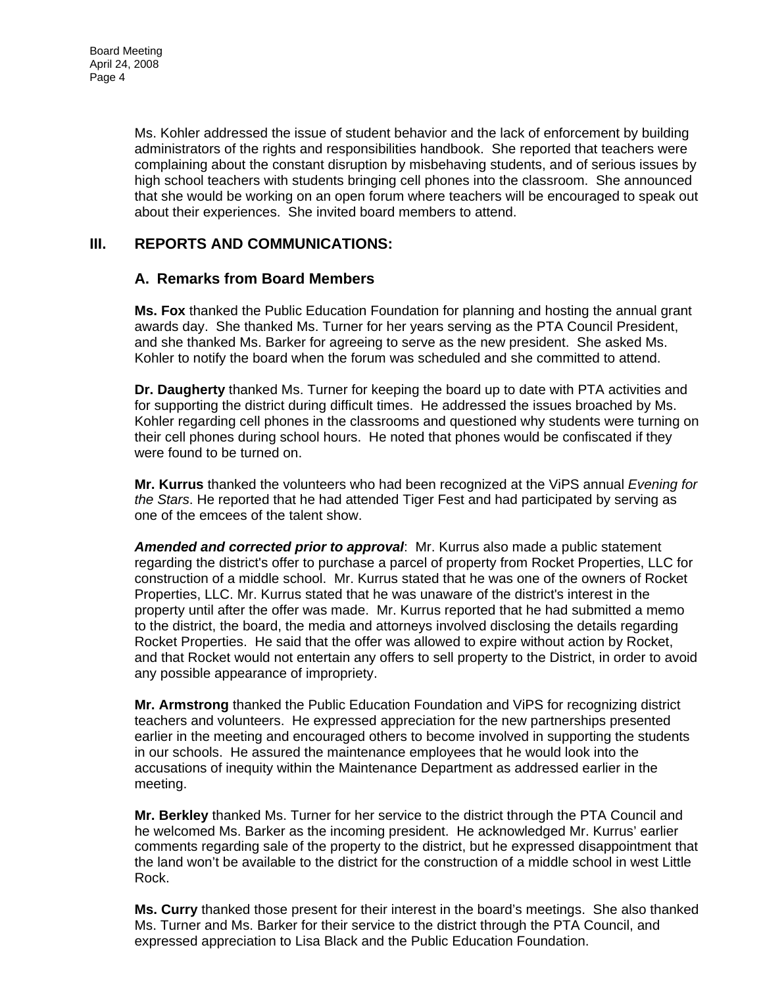Ms. Kohler addressed the issue of student behavior and the lack of enforcement by building administrators of the rights and responsibilities handbook. She reported that teachers were complaining about the constant disruption by misbehaving students, and of serious issues by high school teachers with students bringing cell phones into the classroom. She announced that she would be working on an open forum where teachers will be encouraged to speak out about their experiences. She invited board members to attend.

#### **III. REPORTS AND COMMUNICATIONS:**

#### **A. Remarks from Board Members**

**Ms. Fox** thanked the Public Education Foundation for planning and hosting the annual grant awards day. She thanked Ms. Turner for her years serving as the PTA Council President, and she thanked Ms. Barker for agreeing to serve as the new president. She asked Ms. Kohler to notify the board when the forum was scheduled and she committed to attend.

**Dr. Daugherty** thanked Ms. Turner for keeping the board up to date with PTA activities and for supporting the district during difficult times. He addressed the issues broached by Ms. Kohler regarding cell phones in the classrooms and questioned why students were turning on their cell phones during school hours. He noted that phones would be confiscated if they were found to be turned on.

**Mr. Kurrus** thanked the volunteers who had been recognized at the ViPS annual *Evening for the Stars*. He reported that he had attended Tiger Fest and had participated by serving as one of the emcees of the talent show.

*Amended and corrected prior to approval*: Mr. Kurrus also made a public statement regarding the district's offer to purchase a parcel of property from Rocket Properties, LLC for construction of a middle school. Mr. Kurrus stated that he was one of the owners of Rocket Properties, LLC. Mr. Kurrus stated that he was unaware of the district's interest in the property until after the offer was made. Mr. Kurrus reported that he had submitted a memo to the district, the board, the media and attorneys involved disclosing the details regarding Rocket Properties. He said that the offer was allowed to expire without action by Rocket, and that Rocket would not entertain any offers to sell property to the District, in order to avoid any possible appearance of impropriety.

**Mr. Armstrong** thanked the Public Education Foundation and ViPS for recognizing district teachers and volunteers. He expressed appreciation for the new partnerships presented earlier in the meeting and encouraged others to become involved in supporting the students in our schools. He assured the maintenance employees that he would look into the accusations of inequity within the Maintenance Department as addressed earlier in the meeting.

**Mr. Berkley** thanked Ms. Turner for her service to the district through the PTA Council and he welcomed Ms. Barker as the incoming president. He acknowledged Mr. Kurrus' earlier comments regarding sale of the property to the district, but he expressed disappointment that the land won't be available to the district for the construction of a middle school in west Little Rock.

**Ms. Curry** thanked those present for their interest in the board's meetings. She also thanked Ms. Turner and Ms. Barker for their service to the district through the PTA Council, and expressed appreciation to Lisa Black and the Public Education Foundation.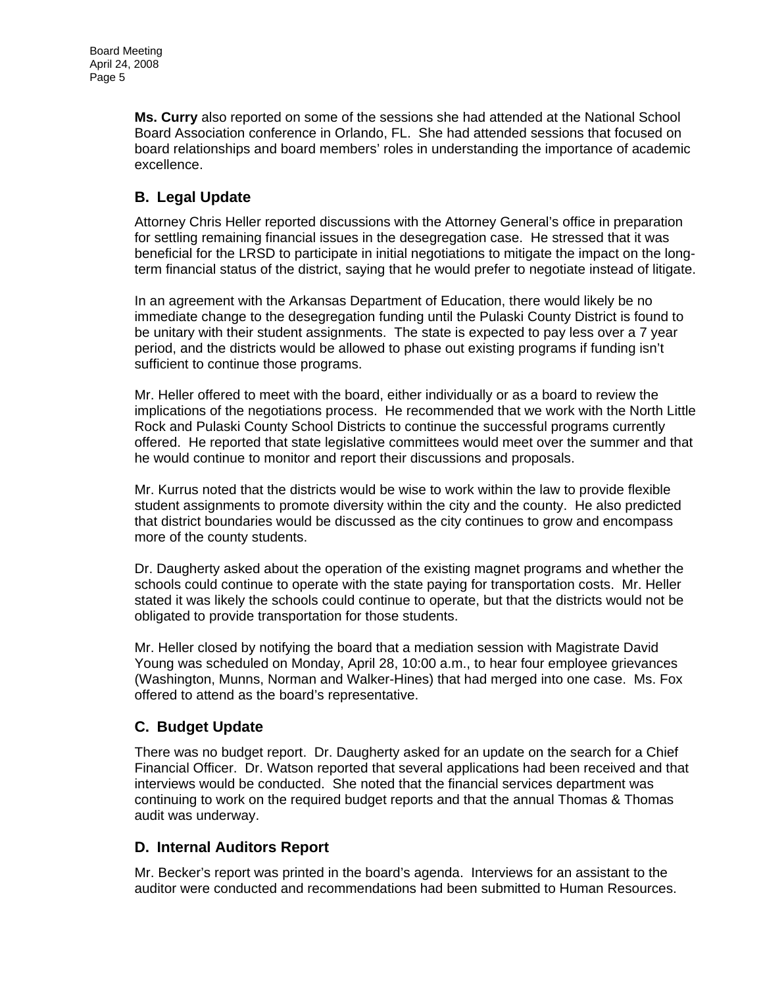**Ms. Curry** also reported on some of the sessions she had attended at the National School Board Association conference in Orlando, FL. She had attended sessions that focused on board relationships and board members' roles in understanding the importance of academic excellence.

# **B. Legal Update**

Attorney Chris Heller reported discussions with the Attorney General's office in preparation for settling remaining financial issues in the desegregation case. He stressed that it was beneficial for the LRSD to participate in initial negotiations to mitigate the impact on the longterm financial status of the district, saying that he would prefer to negotiate instead of litigate.

In an agreement with the Arkansas Department of Education, there would likely be no immediate change to the desegregation funding until the Pulaski County District is found to be unitary with their student assignments. The state is expected to pay less over a 7 year period, and the districts would be allowed to phase out existing programs if funding isn't sufficient to continue those programs.

Mr. Heller offered to meet with the board, either individually or as a board to review the implications of the negotiations process. He recommended that we work with the North Little Rock and Pulaski County School Districts to continue the successful programs currently offered. He reported that state legislative committees would meet over the summer and that he would continue to monitor and report their discussions and proposals.

Mr. Kurrus noted that the districts would be wise to work within the law to provide flexible student assignments to promote diversity within the city and the county. He also predicted that district boundaries would be discussed as the city continues to grow and encompass more of the county students.

Dr. Daugherty asked about the operation of the existing magnet programs and whether the schools could continue to operate with the state paying for transportation costs. Mr. Heller stated it was likely the schools could continue to operate, but that the districts would not be obligated to provide transportation for those students.

Mr. Heller closed by notifying the board that a mediation session with Magistrate David Young was scheduled on Monday, April 28, 10:00 a.m., to hear four employee grievances (Washington, Munns, Norman and Walker-Hines) that had merged into one case. Ms. Fox offered to attend as the board's representative.

# **C. Budget Update**

There was no budget report. Dr. Daugherty asked for an update on the search for a Chief Financial Officer. Dr. Watson reported that several applications had been received and that interviews would be conducted. She noted that the financial services department was continuing to work on the required budget reports and that the annual Thomas & Thomas audit was underway.

## **D. Internal Auditors Report**

Mr. Becker's report was printed in the board's agenda. Interviews for an assistant to the auditor were conducted and recommendations had been submitted to Human Resources.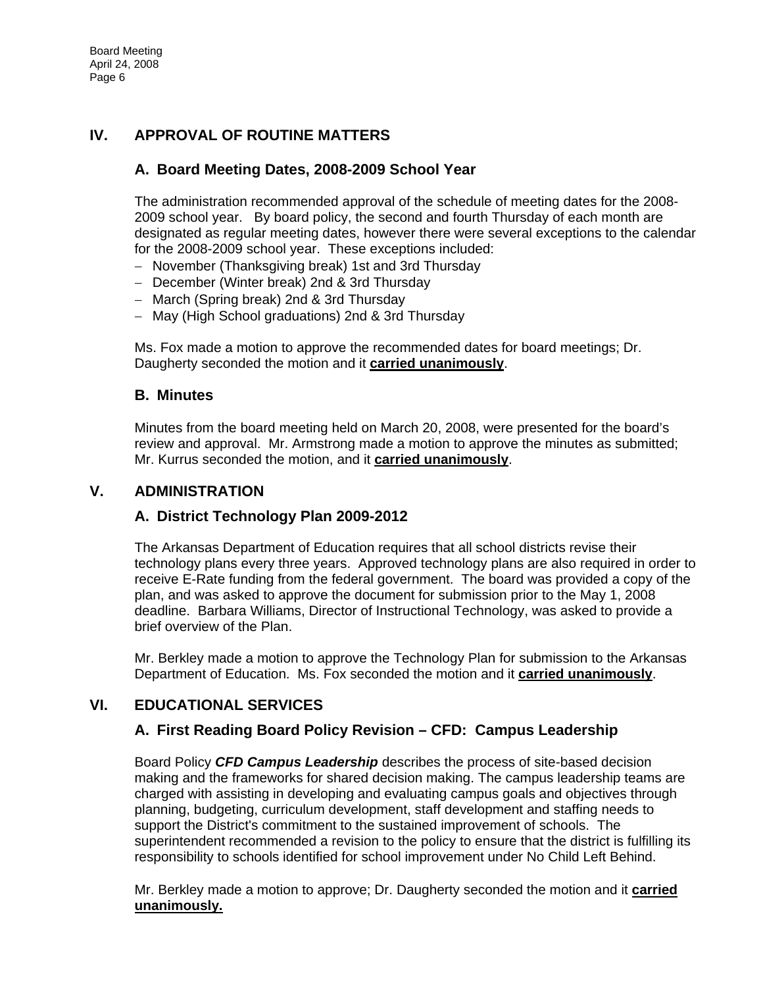## **IV. APPROVAL OF ROUTINE MATTERS**

## **A. Board Meeting Dates, 2008-2009 School Year**

The administration recommended approval of the schedule of meeting dates for the 2008- 2009 school year. By board policy, the second and fourth Thursday of each month are designated as regular meeting dates, however there were several exceptions to the calendar for the 2008-2009 school year. These exceptions included:

- − November (Thanksgiving break) 1st and 3rd Thursday
- − December (Winter break) 2nd & 3rd Thursday
- − March (Spring break) 2nd & 3rd Thursday
- − May (High School graduations) 2nd & 3rd Thursday

Ms. Fox made a motion to approve the recommended dates for board meetings; Dr. Daugherty seconded the motion and it **carried unanimously**.

## **B. Minutes**

Minutes from the board meeting held on March 20, 2008, were presented for the board's review and approval. Mr. Armstrong made a motion to approve the minutes as submitted; Mr. Kurrus seconded the motion, and it **carried unanimously**.

#### **V. ADMINISTRATION**

## **A. District Technology Plan 2009-2012**

The Arkansas Department of Education requires that all school districts revise their technology plans every three years. Approved technology plans are also required in order to receive E-Rate funding from the federal government. The board was provided a copy of the plan, and was asked to approve the document for submission prior to the May 1, 2008 deadline. Barbara Williams, Director of Instructional Technology, was asked to provide a brief overview of the Plan.

Mr. Berkley made a motion to approve the Technology Plan for submission to the Arkansas Department of Education. Ms. Fox seconded the motion and it **carried unanimously**.

## **VI. EDUCATIONAL SERVICES**

## **A. First Reading Board Policy Revision – CFD: Campus Leadership**

Board Policy *CFD Campus Leadership* describes the process of site-based decision making and the frameworks for shared decision making. The campus leadership teams are charged with assisting in developing and evaluating campus goals and objectives through planning, budgeting, curriculum development, staff development and staffing needs to support the District's commitment to the sustained improvement of schools. The superintendent recommended a revision to the policy to ensure that the district is fulfilling its responsibility to schools identified for school improvement under No Child Left Behind.

Mr. Berkley made a motion to approve; Dr. Daugherty seconded the motion and it **carried unanimously.**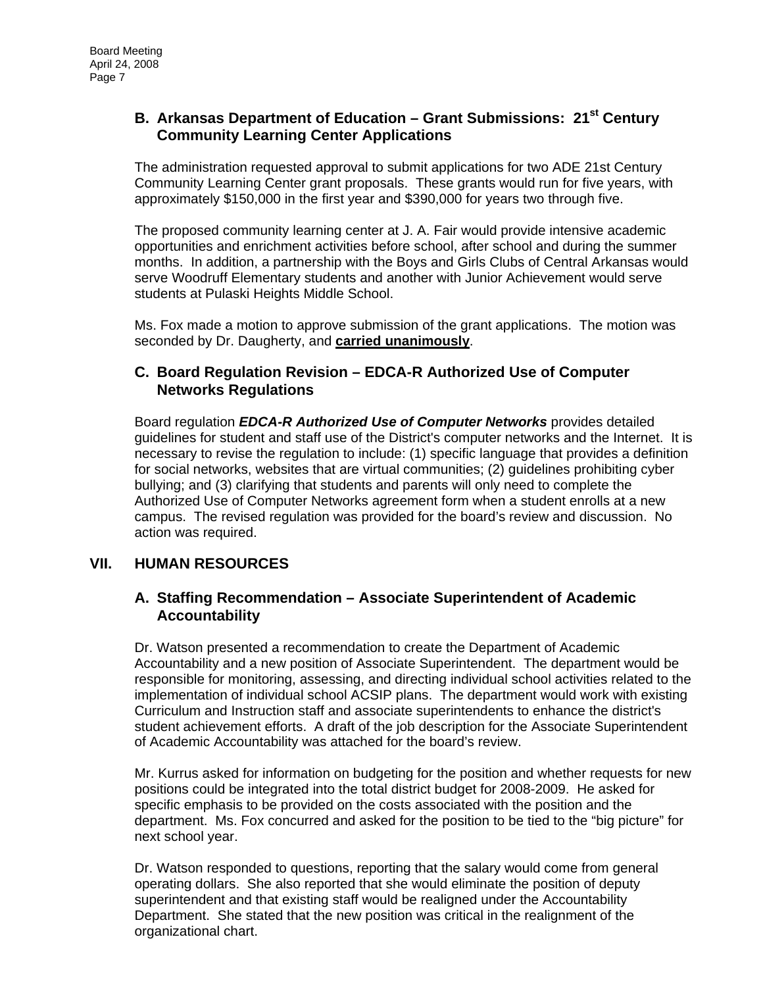## **B. Arkansas Department of Education – Grant Submissions: 21<sup>st</sup> Century Community Learning Center Applications**

The administration requested approval to submit applications for two ADE 21st Century Community Learning Center grant proposals. These grants would run for five years, with approximately \$150,000 in the first year and \$390,000 for years two through five.

The proposed community learning center at J. A. Fair would provide intensive academic opportunities and enrichment activities before school, after school and during the summer months. In addition, a partnership with the Boys and Girls Clubs of Central Arkansas would serve Woodruff Elementary students and another with Junior Achievement would serve students at Pulaski Heights Middle School.

Ms. Fox made a motion to approve submission of the grant applications. The motion was seconded by Dr. Daugherty, and **carried unanimously**.

## **C. Board Regulation Revision – EDCA-R Authorized Use of Computer Networks Regulations**

Board regulation *EDCA-R Authorized Use of Computer Networks* provides detailed guidelines for student and staff use of the District's computer networks and the Internet. It is necessary to revise the regulation to include: (1) specific language that provides a definition for social networks, websites that are virtual communities; (2) guidelines prohibiting cyber bullying; and (3) clarifying that students and parents will only need to complete the Authorized Use of Computer Networks agreement form when a student enrolls at a new campus. The revised regulation was provided for the board's review and discussion. No action was required.

## **VII. HUMAN RESOURCES**

## **A. Staffing Recommendation – Associate Superintendent of Academic Accountability**

Dr. Watson presented a recommendation to create the Department of Academic Accountability and a new position of Associate Superintendent. The department would be responsible for monitoring, assessing, and directing individual school activities related to the implementation of individual school ACSIP plans. The department would work with existing Curriculum and Instruction staff and associate superintendents to enhance the district's student achievement efforts. A draft of the job description for the Associate Superintendent of Academic Accountability was attached for the board's review.

Mr. Kurrus asked for information on budgeting for the position and whether requests for new positions could be integrated into the total district budget for 2008-2009. He asked for specific emphasis to be provided on the costs associated with the position and the department. Ms. Fox concurred and asked for the position to be tied to the "big picture" for next school year.

Dr. Watson responded to questions, reporting that the salary would come from general operating dollars. She also reported that she would eliminate the position of deputy superintendent and that existing staff would be realigned under the Accountability Department. She stated that the new position was critical in the realignment of the organizational chart.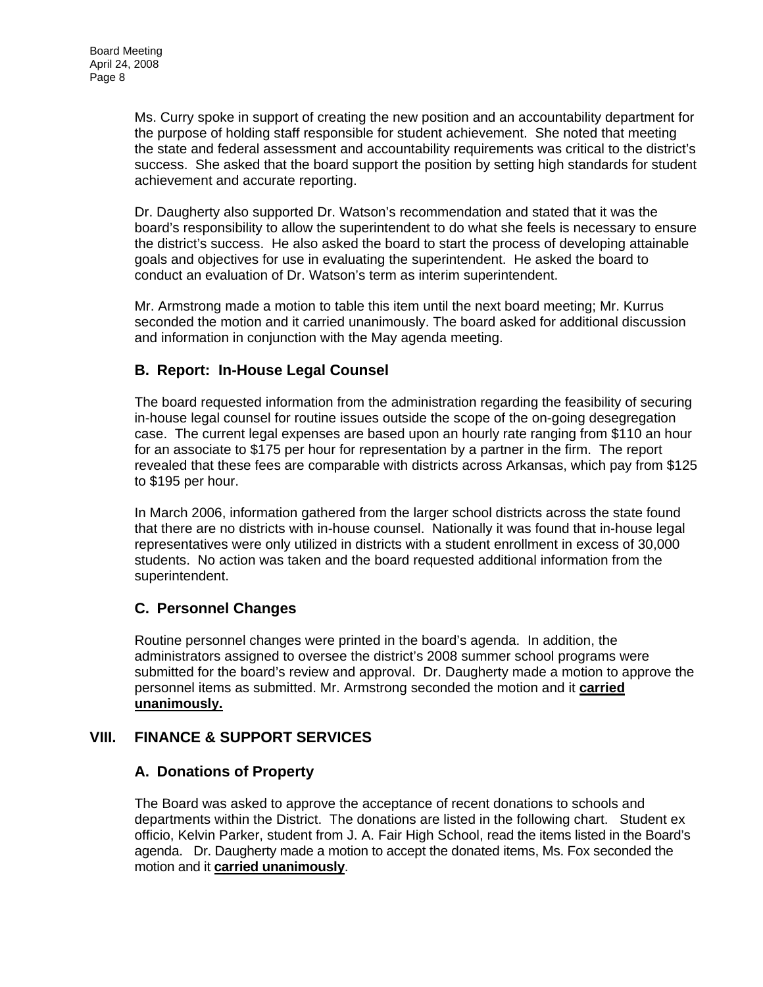Ms. Curry spoke in support of creating the new position and an accountability department for the purpose of holding staff responsible for student achievement. She noted that meeting the state and federal assessment and accountability requirements was critical to the district's success. She asked that the board support the position by setting high standards for student achievement and accurate reporting.

Dr. Daugherty also supported Dr. Watson's recommendation and stated that it was the board's responsibility to allow the superintendent to do what she feels is necessary to ensure the district's success. He also asked the board to start the process of developing attainable goals and objectives for use in evaluating the superintendent. He asked the board to conduct an evaluation of Dr. Watson's term as interim superintendent.

Mr. Armstrong made a motion to table this item until the next board meeting; Mr. Kurrus seconded the motion and it carried unanimously. The board asked for additional discussion and information in conjunction with the May agenda meeting.

# **B. Report: In-House Legal Counsel**

The board requested information from the administration regarding the feasibility of securing in-house legal counsel for routine issues outside the scope of the on-going desegregation case. The current legal expenses are based upon an hourly rate ranging from \$110 an hour for an associate to \$175 per hour for representation by a partner in the firm. The report revealed that these fees are comparable with districts across Arkansas, which pay from \$125 to \$195 per hour.

In March 2006, information gathered from the larger school districts across the state found that there are no districts with in-house counsel. Nationally it was found that in-house legal representatives were only utilized in districts with a student enrollment in excess of 30,000 students. No action was taken and the board requested additional information from the superintendent.

## **C. Personnel Changes**

Routine personnel changes were printed in the board's agenda. In addition, the administrators assigned to oversee the district's 2008 summer school programs were submitted for the board's review and approval. Dr. Daugherty made a motion to approve the personnel items as submitted. Mr. Armstrong seconded the motion and it **carried unanimously.**

## **VIII. FINANCE & SUPPORT SERVICES**

## **A. Donations of Property**

The Board was asked to approve the acceptance of recent donations to schools and departments within the District. The donations are listed in the following chart. Student ex officio, Kelvin Parker, student from J. A. Fair High School, read the items listed in the Board's agenda. Dr. Daugherty made a motion to accept the donated items, Ms. Fox seconded the motion and it **carried unanimously**.